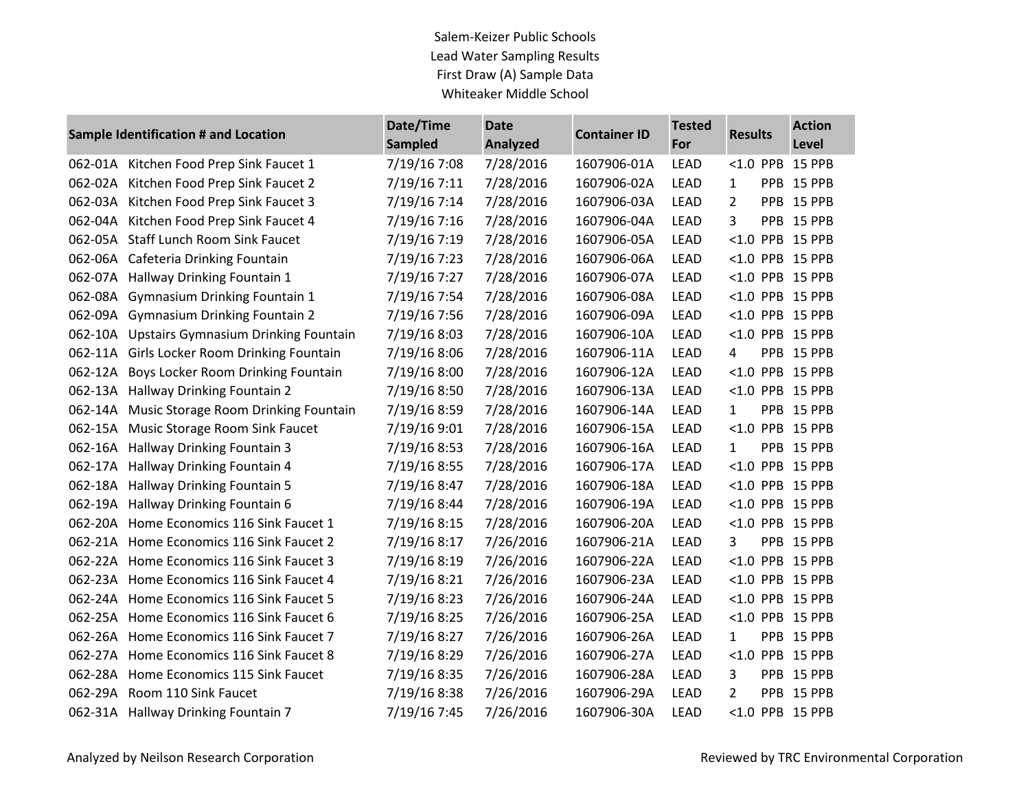Salem-Keizer Public Schools Lead Water Sampling Results First Draw (A) Sample Data Whiteaker Middle School

| Sample Identification # and Location |                                             | Date/Time<br><b>Sampled</b> | <b>Date</b><br><b>Analyzed</b> | <b>Container ID</b> | <b>Tested</b><br>For | <b>Results</b> |            | <b>Action</b><br>Level |
|--------------------------------------|---------------------------------------------|-----------------------------|--------------------------------|---------------------|----------------------|----------------|------------|------------------------|
| 062-01A                              | Kitchen Food Prep Sink Faucet 1             | 7/19/16 7:08                | 7/28/2016                      | 1607906-01A         | <b>LEAD</b>          | $< 1.0$ PPB    |            | 15 PPB                 |
| 062-02A                              | Kitchen Food Prep Sink Faucet 2             | 7/19/16 7:11                | 7/28/2016                      | 1607906-02A         | <b>LEAD</b>          | 1              |            | PPB 15 PPB             |
| 062-03A                              | Kitchen Food Prep Sink Faucet 3             | 7/19/16 7:14                | 7/28/2016                      | 1607906-03A         | <b>LEAD</b>          | 2              |            | PPB 15 PPB             |
| 062-04A                              | Kitchen Food Prep Sink Faucet 4             | 7/19/16 7:16                | 7/28/2016                      | 1607906-04A         | <b>LEAD</b>          | 3              | <b>PPB</b> | 15 PPB                 |
| 062-05A                              | <b>Staff Lunch Room Sink Faucet</b>         | 7/19/16 7:19                | 7/28/2016                      | 1607906-05A         | <b>LEAD</b>          |                |            | <1.0 PPB 15 PPB        |
| 062-06A                              | Cafeteria Drinking Fountain                 | 7/19/16 7:23                | 7/28/2016                      | 1607906-06A         | <b>LEAD</b>          |                |            | <1.0 PPB 15 PPB        |
| 062-07A                              | Hallway Drinking Fountain 1                 | 7/19/16 7:27                | 7/28/2016                      | 1607906-07A         | <b>LEAD</b>          |                |            | <1.0 PPB 15 PPB        |
| 062-08A                              | <b>Gymnasium Drinking Fountain 1</b>        | 7/19/16 7:54                | 7/28/2016                      | 1607906-08A         | <b>LEAD</b>          |                |            | <1.0 PPB 15 PPB        |
|                                      | 062-09A Gymnasium Drinking Fountain 2       | 7/19/16 7:56                | 7/28/2016                      | 1607906-09A         | <b>LEAD</b>          |                |            | <1.0 PPB 15 PPB        |
| 062-10A                              | <b>Upstairs Gymnasium Drinking Fountain</b> | 7/19/16 8:03                | 7/28/2016                      | 1607906-10A         | <b>LEAD</b>          |                |            | <1.0 PPB 15 PPB        |
| 062-11A                              | Girls Locker Room Drinking Fountain         | 7/19/16 8:06                | 7/28/2016                      | 1607906-11A         | <b>LEAD</b>          | 4              |            | PPB 15 PPB             |
| 062-12A                              | Boys Locker Room Drinking Fountain          | 7/19/16 8:00                | 7/28/2016                      | 1607906-12A         | <b>LEAD</b>          |                |            | <1.0 PPB 15 PPB        |
| 062-13A                              | Hallway Drinking Fountain 2                 | 7/19/16 8:50                | 7/28/2016                      | 1607906-13A         | <b>LEAD</b>          |                |            | <1.0 PPB 15 PPB        |
| 062-14A                              | Music Storage Room Drinking Fountain        | 7/19/16 8:59                | 7/28/2016                      | 1607906-14A         | <b>LEAD</b>          | 1              |            | PPB 15 PPB             |
| 062-15A                              | Music Storage Room Sink Faucet              | 7/19/16 9:01                | 7/28/2016                      | 1607906-15A         | <b>LEAD</b>          |                |            | <1.0 PPB 15 PPB        |
| 062-16A                              | Hallway Drinking Fountain 3                 | 7/19/16 8:53                | 7/28/2016                      | 1607906-16A         | <b>LEAD</b>          | $\mathbf{1}$   |            | PPB 15 PPB             |
| 062-17A                              | Hallway Drinking Fountain 4                 | 7/19/16 8:55                | 7/28/2016                      | 1607906-17A         | <b>LEAD</b>          |                |            | <1.0 PPB 15 PPB        |
| 062-18A                              | Hallway Drinking Fountain 5                 | 7/19/16 8:47                | 7/28/2016                      | 1607906-18A         | <b>LEAD</b>          |                |            | <1.0 PPB 15 PPB        |
| 062-19A                              | Hallway Drinking Fountain 6                 | 7/19/16 8:44                | 7/28/2016                      | 1607906-19A         | <b>LEAD</b>          |                |            | <1.0 PPB 15 PPB        |
| 062-20A                              | Home Economics 116 Sink Faucet 1            | 7/19/16 8:15                | 7/28/2016                      | 1607906-20A         | <b>LEAD</b>          |                |            | <1.0 PPB 15 PPB        |
| 062-21A                              | Home Economics 116 Sink Faucet 2            | 7/19/16 8:17                | 7/26/2016                      | 1607906-21A         | <b>LEAD</b>          | 3              |            | PPB 15 PPB             |
| 062-22A                              | Home Economics 116 Sink Faucet 3            | 7/19/16 8:19                | 7/26/2016                      | 1607906-22A         | <b>LEAD</b>          | < 1.0          |            | PPB 15 PPB             |
| 062-23A                              | Home Economics 116 Sink Faucet 4            | 7/19/16 8:21                | 7/26/2016                      | 1607906-23A         | <b>LEAD</b>          |                |            | <1.0 PPB 15 PPB        |
| 062-24A                              | Home Economics 116 Sink Faucet 5            | 7/19/16 8:23                | 7/26/2016                      | 1607906-24A         | <b>LEAD</b>          |                |            | <1.0 PPB 15 PPB        |
| 062-25A                              | Home Economics 116 Sink Faucet 6            | 7/19/16 8:25                | 7/26/2016                      | 1607906-25A         | <b>LEAD</b>          |                |            | <1.0 PPB 15 PPB        |
| 062-26A                              | Home Economics 116 Sink Faucet 7            | 7/19/16 8:27                | 7/26/2016                      | 1607906-26A         | <b>LEAD</b>          | $\mathbf 1$    |            | PPB 15 PPB             |
| 062-27A                              | Home Economics 116 Sink Faucet 8            | 7/19/16 8:29                | 7/26/2016                      | 1607906-27A         | <b>LEAD</b>          |                |            | <1.0 PPB 15 PPB        |
| 062-28A                              | Home Economics 115 Sink Faucet              | 7/19/16 8:35                | 7/26/2016                      | 1607906-28A         | <b>LEAD</b>          | 3              |            | PPB 15 PPB             |
| 062-29A                              | Room 110 Sink Faucet                        | 7/19/16 8:38                | 7/26/2016                      | 1607906-29A         | <b>LEAD</b>          | 2              |            | PPB 15 PPB             |
|                                      | 062-31A Hallway Drinking Fountain 7         | 7/19/16 7:45                | 7/26/2016                      | 1607906-30A         | <b>LEAD</b>          |                |            | <1.0 PPB 15 PPB        |